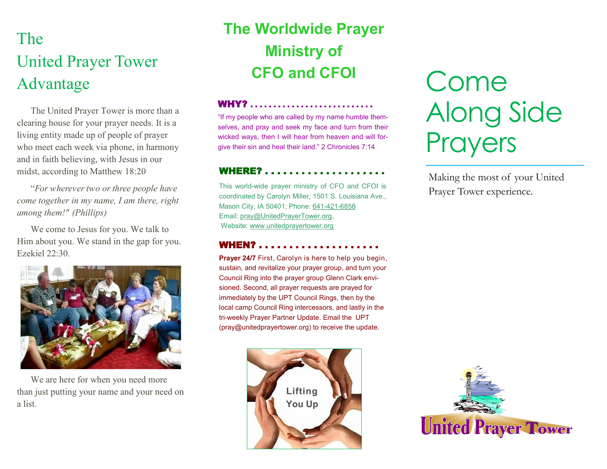# The United Prayer Tower Advantage

The United Prayer Tower is more than a clearing house for your prayer needs. It is a living entity made up of people of prayer who meet each week via phone, in harmony and in faith believing, with Jesus in our midst, according to Matthew 18:20

"*For wherever two or three people have come together in my name, I am there, right among them!" (Phillips)* 

We come to Jesus for you. We talk to Him about you. We stand in the gap for you. Ezekiel 22:30.



We are here for when you need more than just putting your name and your need on a list.

# **The Worldwide Prayer Ministry of CFO and CFOI**

#### WHY? . . . . . . . . . . . . . . . . . . . . . . . . . . .

"If my people who are called by my name humble themselves, and pray and seek my face and turn from their wicked ways, then I will hear from heaven and will forgive their sin and heal their land." 2 Chronicles 7:14

### **WHERE?....................**

This world-wide prayer ministry of CFO and CFOI is coordinated by Carolyn Miller, 1501 S. Louisiana Ave., Mason City, IA 50401; Phone: 641-421-[6858](tel:641-421-6858) Email: pray@UnitedPrayerTower.org, Website: [www.unitedprayertower.org](http://www.unitedprayertower.org)

### **WHEN?....................**

**Prayer 24/7** First, Carolyn is here to help you begin, sustain, and revitalize your prayer group, and turn your Council Ring into the prayer group Glenn Clark envisioned. Second, all prayer requests are prayed for immediately by the UPT Council Rings, then by the local camp Council Ring intercessors, and lastly in the tri-weekly Prayer Partner Update. Email the UPT (pray@unitedprayertower.org) to receive the update.



# Come Along Side **Prayers**

Making the most of your United Prayer Tower experience.